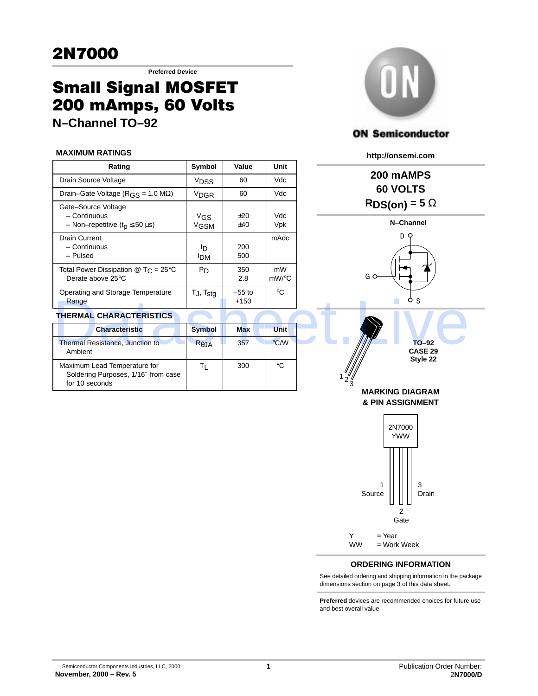**Preferred Device**

# Small Signal MOSFET 200 mAmps, 60 Volts

**N–Channel TO–92**

#### **MAXIMUM RATINGS**

| Rating                                                                                            | Symbol                            | Value              | Unit        |
|---------------------------------------------------------------------------------------------------|-----------------------------------|--------------------|-------------|
| Drain Source Voltage                                                                              | <b>V<sub>DSS</sub></b>            | 60                 | Vdc         |
| Drain-Gate Voltage ( $RGS = 1.0 M\Omega$ )                                                        | <sup>V</sup> DGR                  | 60                 | Vdc         |
| Gate-Source Voltage<br>- Continuous<br>- Non-repetitive ( $tD \le 50 \mu s$ )                     | $V$ <sub>GS</sub><br><b>VGSM</b>  | $+20$<br>±40       | Vdc<br>Vpk  |
| Drain Current<br>– Continuous<br>- Pulsed                                                         | חו<br><b>IDM</b>                  | 200<br>500         | mAdc        |
| Total Power Dissipation $\textcircled{a}$ T <sub>C</sub> = 25 <sup>o</sup> C<br>Derate above 25°C | P <sub>D</sub>                    | 350<br>2.8         | mW<br>mW/°C |
| Operating and Storage Temperature<br>Range                                                        | T <sub>J</sub> , T <sub>stg</sub> | $-55$ to<br>$+150$ | °€          |

#### **THERMAL CHARACTERISTICS**

| oporaling and olorage remporatore<br>Range                                            | sıy. יט        | ິ<br>$+150$ |               | o s                                   |
|---------------------------------------------------------------------------------------|----------------|-------------|---------------|---------------------------------------|
| <b>THERMAL CHARACTERISTICS</b>                                                        |                |             |               |                                       |
| <b>Characteristic</b>                                                                 | <b>Symbol</b>  | <b>Max</b>  | <b>Unit</b>   |                                       |
| <b>Thermal Resistance, Junction to</b><br>Ambient                                     | $R_{\theta$ JA | 357         | $\degree$ C/W | $TO-92$<br><b>CASE 29</b><br>Style 22 |
| Maximum Lead Temperature for<br>Soldering Purposes, 1/16" from case<br>for 10 seconds |                | 300         | °C            | $\sim$                                |



## **ON Semiconductor**

**http://onsemi.com**

**200 mAMPS 60 VOLTS RDS(on) = 5** Ω





#### **ORDERING INFORMATION**

See detailed ordering and shipping information in the package dimensions section on page 3 of this data sheet.

**Preferred** devices are recommended choices for future use and best overall value.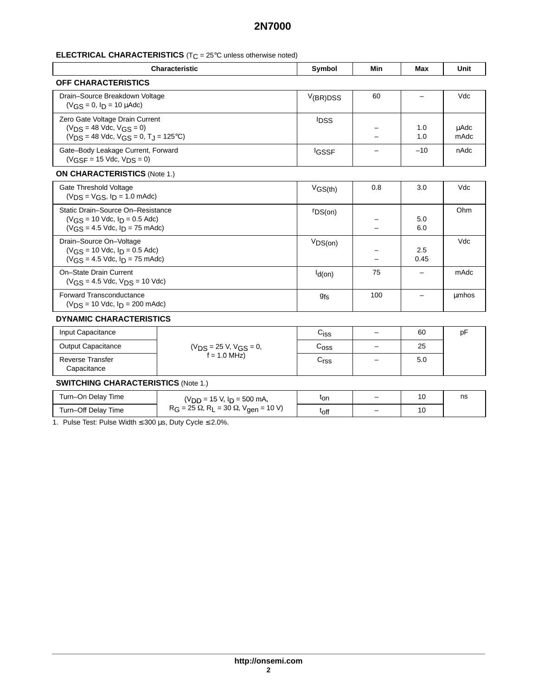## **ELECTRICAL CHARACTERISTICS** (T<sub>C</sub> = 25°C unless otherwise noted)

| <b>Characteristic</b>                                                                                                         | Symbol       | Min | Max         | Unit         |  |
|-------------------------------------------------------------------------------------------------------------------------------|--------------|-----|-------------|--------------|--|
| <b>OFF CHARACTERISTICS</b>                                                                                                    |              |     |             |              |  |
| Drain-Source Breakdown Voltage<br>$(V_{CS} = 0, I_D = 10 \mu A d c)$                                                          | V(BR)DSS     | 60  |             | Vdc          |  |
| Zero Gate Voltage Drain Current<br>$(V_{DS} = 48$ Vdc, $V_{GS} = 0$ )<br>$(V_{DS} = 48$ Vdc, $V_{GS} = 0$ , $T_{I} = 125$ °C) | <b>IDSS</b>  |     | 1.0<br>1.0  | uAdc<br>mAdc |  |
| Gate-Body Leakage Current, Forward<br>$(V_{\text{GSF}} = 15$ Vdc, $V_{\text{DS}} = 0$ )                                       | <b>IGSSF</b> |     | $-10$       | nAdc         |  |
| <b>ON CHARACTERISTICS (Note 1.)</b>                                                                                           |              |     |             |              |  |
| Gate Threshold Voltage<br>$(V_{DS} = V_{GS}, I_D = 1.0$ mAdc)                                                                 | $V$ GS(th)   | 0.8 | 3.0         | Vdc          |  |
| Static Drain-Source On-Resistance<br>$(V_{CS} = 10$ Vdc, $I_D = 0.5$ Adc)<br>$(V_{GS} = 4.5$ Vdc, $I_D = 75$ mAdc)            | rDS(on)      |     | 5.0<br>6.0  | Ohm          |  |
| Drain-Source On-Voltage<br>$(V_{CS} = 10$ Vdc, $I_D = 0.5$ Adc)<br>$(V_{CS} = 4.5$ Vdc, $I_D = 75$ mAdc)                      | VDS(on)      |     | 2.5<br>0.45 | Vdc          |  |
| On-State Drain Current<br>$(V_{GS} = 4.5$ Vdc, $V_{DS} = 10$ Vdc)                                                             | $d$ (on)     | 75  |             | mAdc         |  |
| <b>Forward Transconductance</b><br>$(V_{DS} = 10$ Vdc, $I_D = 200$ mAdc)                                                      | <b>9fs</b>   | 100 |             | umhos        |  |
| <b>DVULLULO CULLO LOTEDICTICO</b>                                                                                             |              |     |             |              |  |

#### **DYNAMIC CHARACTERISTICS**

| Input Capacitance                      |                         | C <sub>iss</sub> | - | 60  | рF |
|----------------------------------------|-------------------------|------------------|---|-----|----|
| <b>Output Capacitance</b>              | $(VDS = 25 V, VGS = 0,$ | ∪oss             | - | 25  |    |
| <b>Reverse Transfer</b><br>Capacitance | $f = 1.0$ MHz)          | ⌒<br>∽rss        | - | 5.0 |    |

## **SWITCHING CHARACTERISTICS** (Note 1.)

| Turn-On Delay Time  | $(VDD = 15 V, ID = 500 mA,$                                | <sup>t</sup> on | $\overline{\phantom{0}}$ |    | ns |
|---------------------|------------------------------------------------------------|-----------------|--------------------------|----|----|
| Turn-Off Delay Time | $R_G = 25 \Omega$ , $R_L = 30 \Omega$ , $V_{gen} = 10 V$ ) | toff            |                          | טו |    |

1. Pulse Test: Pulse Width ≤ 300 µs, Duty Cycle ≤ 2.0%.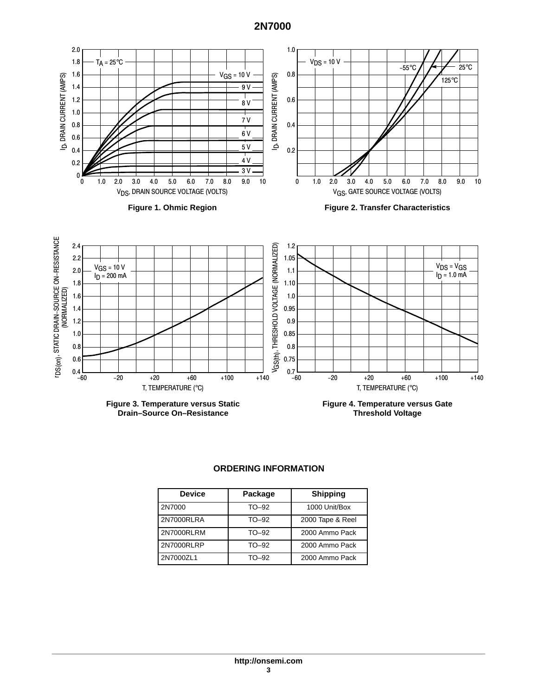

### **ORDERING INFORMATION**

| <b>Device</b> | Package | <b>Shipping</b>  |
|---------------|---------|------------------|
| 2N7000        | TO-92   | 1000 Unit/Box    |
| 2N7000RLRA    | TO-92   | 2000 Tape & Reel |
| 2N7000RLRM    | TO-92   | 2000 Ammo Pack   |
| 2N7000RLRP    | TO-92   | 2000 Ammo Pack   |
| 2N7000ZL1     | TO-92   | 2000 Ammo Pack   |